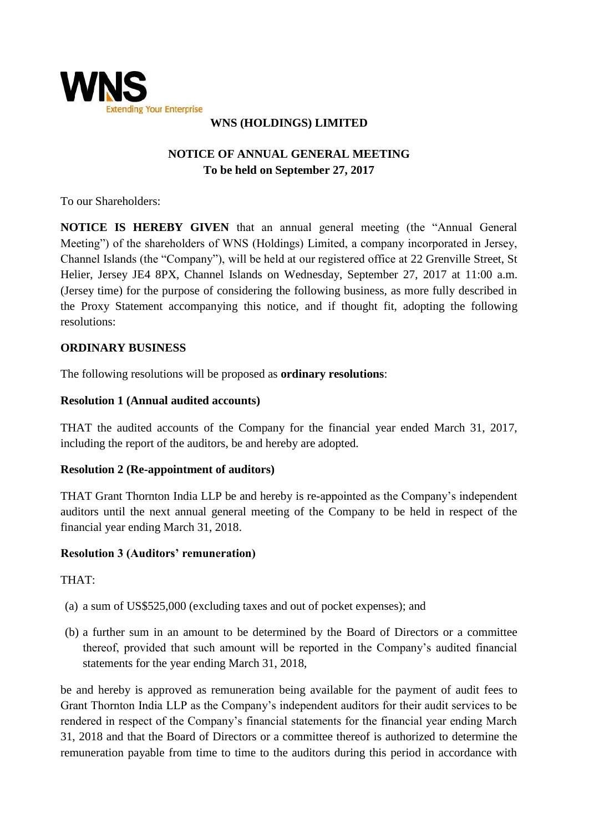

# **WNS (HOLDINGS) LIMITED**

# **NOTICE OF ANNUAL GENERAL MEETING To be held on September 27, 2017**

To our Shareholders:

**NOTICE IS HEREBY GIVEN** that an annual general meeting (the "Annual General Meeting") of the shareholders of WNS (Holdings) Limited, a company incorporated in Jersey, Channel Islands (the "Company"), will be held at our registered office at 22 Grenville Street, St Helier, Jersey JE4 8PX, Channel Islands on Wednesday, September 27, 2017 at 11:00 a.m. (Jersey time) for the purpose of considering the following business, as more fully described in the Proxy Statement accompanying this notice, and if thought fit, adopting the following resolutions:

#### **ORDINARY BUSINESS**

The following resolutions will be proposed as **ordinary resolutions**:

#### **Resolution 1 (Annual audited accounts)**

THAT the audited accounts of the Company for the financial year ended March 31, 2017, including the report of the auditors, be and hereby are adopted.

#### **Resolution 2 (Re-appointment of auditors)**

THAT Grant Thornton India LLP be and hereby is re-appointed as the Company's independent auditors until the next annual general meeting of the Company to be held in respect of the financial year ending March 31, 2018.

#### **Resolution 3 (Auditors' remuneration)**

THAT:

- (a) a sum of US\$525,000 (excluding taxes and out of pocket expenses); and
- (b) a further sum in an amount to be determined by the Board of Directors or a committee thereof, provided that such amount will be reported in the Company's audited financial statements for the year ending March 31, 2018,

be and hereby is approved as remuneration being available for the payment of audit fees to Grant Thornton India LLP as the Company's independent auditors for their audit services to be rendered in respect of the Company's financial statements for the financial year ending March 31, 2018 and that the Board of Directors or a committee thereof is authorized to determine the remuneration payable from time to time to the auditors during this period in accordance with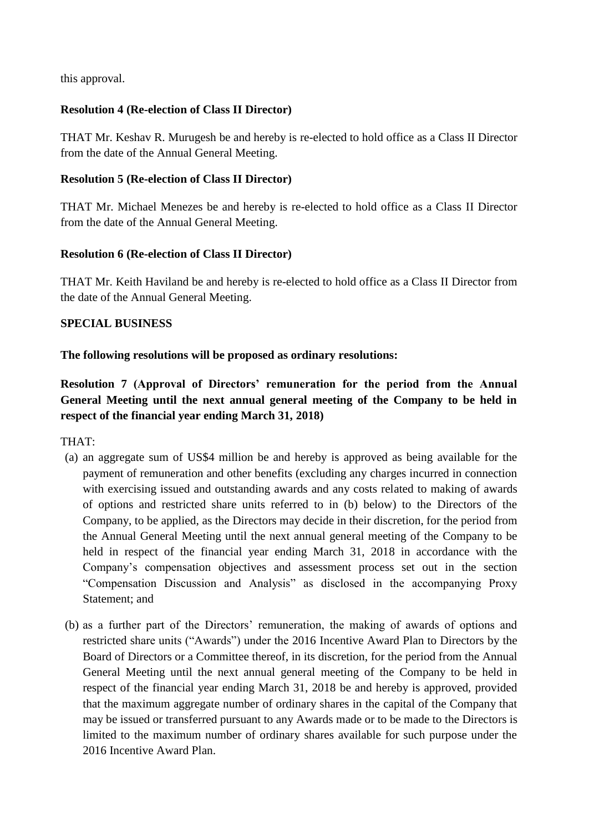this approval.

## **Resolution 4 (Re-election of Class II Director)**

THAT Mr. Keshav R. Murugesh be and hereby is re-elected to hold office as a Class II Director from the date of the Annual General Meeting.

#### **Resolution 5 (Re-election of Class II Director)**

THAT Mr. Michael Menezes be and hereby is re-elected to hold office as a Class II Director from the date of the Annual General Meeting.

## **Resolution 6 (Re-election of Class II Director)**

THAT Mr. Keith Haviland be and hereby is re-elected to hold office as a Class II Director from the date of the Annual General Meeting.

## **SPECIAL BUSINESS**

## **The following resolutions will be proposed as ordinary resolutions:**

**Resolution 7 (Approval of Directors' remuneration for the period from the Annual General Meeting until the next annual general meeting of the Company to be held in respect of the financial year ending March 31, 2018)** 

THAT:

- (a) an aggregate sum of US\$4 million be and hereby is approved as being available for the payment of remuneration and other benefits (excluding any charges incurred in connection with exercising issued and outstanding awards and any costs related to making of awards of options and restricted share units referred to in (b) below) to the Directors of the Company, to be applied, as the Directors may decide in their discretion, for the period from the Annual General Meeting until the next annual general meeting of the Company to be held in respect of the financial year ending March 31, 2018 in accordance with the Company's compensation objectives and assessment process set out in the section "Compensation Discussion and Analysis" as disclosed in the accompanying Proxy Statement; and
- (b) as a further part of the Directors' remuneration, the making of awards of options and restricted share units ("Awards") under the 2016 Incentive Award Plan to Directors by the Board of Directors or a Committee thereof, in its discretion, for the period from the Annual General Meeting until the next annual general meeting of the Company to be held in respect of the financial year ending March 31, 2018 be and hereby is approved, provided that the maximum aggregate number of ordinary shares in the capital of the Company that may be issued or transferred pursuant to any Awards made or to be made to the Directors is limited to the maximum number of ordinary shares available for such purpose under the 2016 Incentive Award Plan.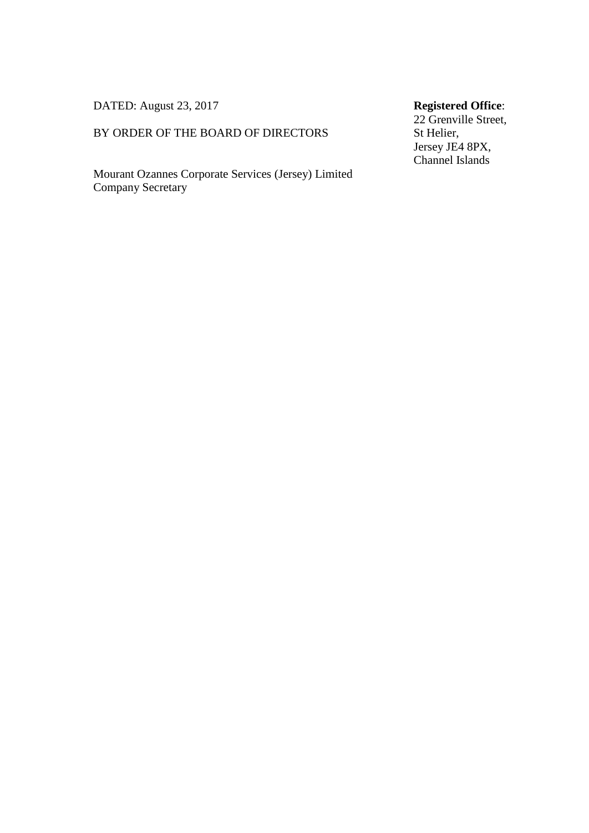DATED: August 23, 2017

#### BY ORDER OF THE BOARD OF DIRECTORS

Mourant Ozannes Corporate Services (Jersey) Limited Company Secretary

# **Registered Office**:

22 Grenville Street, St Helier, Jersey JE4 8PX, Channel Islands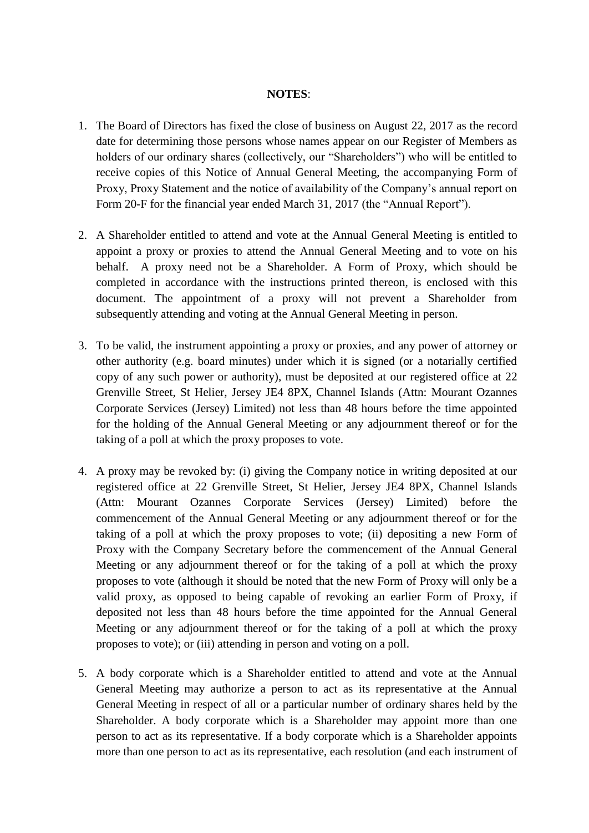#### **NOTES**:

- 1. The Board of Directors has fixed the close of business on August 22, 2017 as the record date for determining those persons whose names appear on our Register of Members as holders of our ordinary shares (collectively, our "Shareholders") who will be entitled to receive copies of this Notice of Annual General Meeting, the accompanying Form of Proxy, Proxy Statement and the notice of availability of the Company's annual report on Form 20-F for the financial year ended March 31, 2017 (the "Annual Report").
- 2. A Shareholder entitled to attend and vote at the Annual General Meeting is entitled to appoint a proxy or proxies to attend the Annual General Meeting and to vote on his behalf. A proxy need not be a Shareholder. A Form of Proxy, which should be completed in accordance with the instructions printed thereon, is enclosed with this document. The appointment of a proxy will not prevent a Shareholder from subsequently attending and voting at the Annual General Meeting in person.
- 3. To be valid, the instrument appointing a proxy or proxies, and any power of attorney or other authority (e.g. board minutes) under which it is signed (or a notarially certified copy of any such power or authority), must be deposited at our registered office at 22 Grenville Street, St Helier, Jersey JE4 8PX, Channel Islands (Attn: Mourant Ozannes Corporate Services (Jersey) Limited) not less than 48 hours before the time appointed for the holding of the Annual General Meeting or any adjournment thereof or for the taking of a poll at which the proxy proposes to vote.
- 4. A proxy may be revoked by: (i) giving the Company notice in writing deposited at our registered office at 22 Grenville Street, St Helier, Jersey JE4 8PX, Channel Islands (Attn: Mourant Ozannes Corporate Services (Jersey) Limited) before the commencement of the Annual General Meeting or any adjournment thereof or for the taking of a poll at which the proxy proposes to vote; (ii) depositing a new Form of Proxy with the Company Secretary before the commencement of the Annual General Meeting or any adjournment thereof or for the taking of a poll at which the proxy proposes to vote (although it should be noted that the new Form of Proxy will only be a valid proxy, as opposed to being capable of revoking an earlier Form of Proxy, if deposited not less than 48 hours before the time appointed for the Annual General Meeting or any adjournment thereof or for the taking of a poll at which the proxy proposes to vote); or (iii) attending in person and voting on a poll.
- 5. A body corporate which is a Shareholder entitled to attend and vote at the Annual General Meeting may authorize a person to act as its representative at the Annual General Meeting in respect of all or a particular number of ordinary shares held by the Shareholder. A body corporate which is a Shareholder may appoint more than one person to act as its representative. If a body corporate which is a Shareholder appoints more than one person to act as its representative, each resolution (and each instrument of